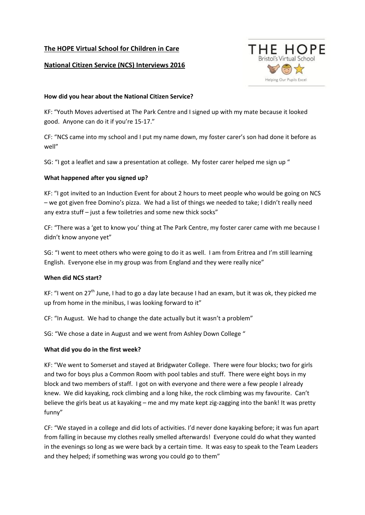## **The HOPE Virtual School for Children in Care**

## **National Citizen Service (NCS) Interviews 2016**



#### **How did you hear about the National Citizen Service?**

KF: "Youth Moves advertised at The Park Centre and I signed up with my mate because it looked good. Anyone can do it if you're 15-17."

CF: "NCS came into my school and I put my name down, my foster carer's son had done it before as well"

SG: "I got a leaflet and saw a presentation at college. My foster carer helped me sign up "

## **What happened after you signed up?**

KF: "I got invited to an Induction Event for about 2 hours to meet people who would be going on NCS – we got given free Domino's pizza. We had a list of things we needed to take; I didn't really need any extra stuff – just a few toiletries and some new thick socks"

CF: "There was a 'get to know you' thing at The Park Centre, my foster carer came with me because I didn't know anyone yet"

SG: "I went to meet others who were going to do it as well. I am from Eritrea and I'm still learning English. Everyone else in my group was from England and they were really nice"

## **When did NCS start?**

KF: "I went on 27<sup>th</sup> June, I had to go a day late because I had an exam, but it was ok, they picked me up from home in the minibus, I was looking forward to it"

CF: "In August. We had to change the date actually but it wasn't a problem"

SG: "We chose a date in August and we went from Ashley Down College "

#### **What did you do in the first week?**

KF: "We went to Somerset and stayed at Bridgwater College. There were four blocks; two for girls and two for boys plus a Common Room with pool tables and stuff. There were eight boys in my block and two members of staff. I got on with everyone and there were a few people I already knew. We did kayaking, rock climbing and a long hike, the rock climbing was my favourite. Can't believe the girls beat us at kayaking – me and my mate kept zig-zagging into the bank! It was pretty funny"

CF: "We stayed in a college and did lots of activities. I'd never done kayaking before; it was fun apart from falling in because my clothes really smelled afterwards! Everyone could do what they wanted in the evenings so long as we were back by a certain time. It was easy to speak to the Team Leaders and they helped; if something was wrong you could go to them"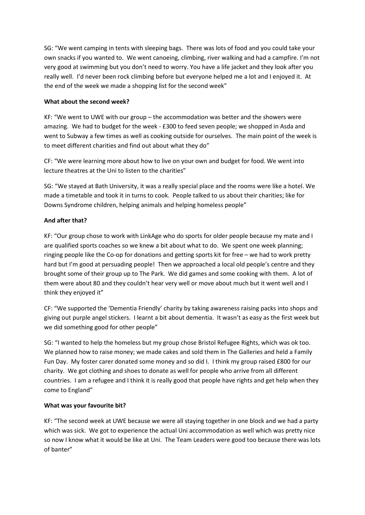SG: "We went camping in tents with sleeping bags. There was lots of food and you could take your own snacks if you wanted to. We went canoeing, climbing, river walking and had a campfire. I'm not very good at swimming but you don't need to worry. You have a life jacket and they look after you really well. I'd never been rock climbing before but everyone helped me a lot and I enjoyed it. At the end of the week we made a shopping list for the second week"

## **What about the second week?**

KF: "We went to UWE with our group – the accommodation was better and the showers were amazing. We had to budget for the week - £300 to feed seven people; we shopped in Asda and went to Subway a few times as well as cooking outside for ourselves. The main point of the week is to meet different charities and find out about what they do"

CF: "We were learning more about how to live on your own and budget for food. We went into lecture theatres at the Uni to listen to the charities"

SG: "We stayed at Bath University, it was a really special place and the rooms were like a hotel. We made a timetable and took it in turns to cook. People talked to us about their charities; like for Downs Syndrome children, helping animals and helping homeless people"

# **And after that?**

KF: "Our group chose to work with LinkAge who do sports for older people because my mate and I are qualified sports coaches so we knew a bit about what to do. We spent one week planning; ringing people like the Co-op for donations and getting sports kit for free – we had to work pretty hard but I'm good at persuading people! Then we approached a local old people's centre and they brought some of their group up to The Park. We did games and some cooking with them. A lot of them were about 80 and they couldn't hear very well or move about much but it went well and I think they enjoyed it"

CF: "We supported the 'Dementia Friendly' charity by taking awareness raising packs into shops and giving out purple angel stickers. I learnt a bit about dementia. It wasn't as easy as the first week but we did something good for other people"

SG: "I wanted to help the homeless but my group chose Bristol Refugee Rights, which was ok too. We planned how to raise money; we made cakes and sold them in The Galleries and held a Family Fun Day. My foster carer donated some money and so did I. I think my group raised £800 for our charity. We got clothing and shoes to donate as well for people who arrive from all different countries. I am a refugee and I think it is really good that people have rights and get help when they come to England"

# **What was your favourite bit?**

KF: "The second week at UWE because we were all staying together in one block and we had a party which was sick. We got to experience the actual Uni accommodation as well which was pretty nice so now I know what it would be like at Uni. The Team Leaders were good too because there was lots of banter"